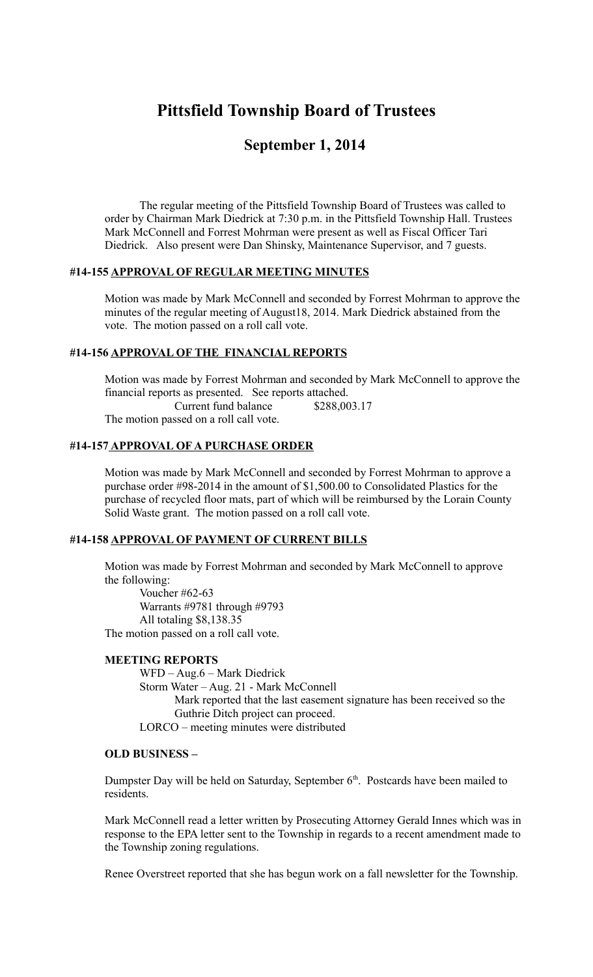# **Pittsfield Township Board of Trustees**

# **September 1, 2014**

The regular meeting of the Pittsfield Township Board of Trustees was called to order by Chairman Mark Diedrick at 7:30 p.m. in the Pittsfield Township Hall. Trustees Mark McConnell and Forrest Mohrman were present as well as Fiscal Officer Tari Diedrick. Also present were Dan Shinsky, Maintenance Supervisor, and 7 guests.

#### **#14-155 APPROVAL OF REGULAR MEETING MINUTES**

Motion was made by Mark McConnell and seconded by Forrest Mohrman to approve the minutes of the regular meeting of August18, 2014. Mark Diedrick abstained from the vote. The motion passed on a roll call vote.

# **#14-156 APPROVAL OF THE FINANCIAL REPORTS**

Motion was made by Forrest Mohrman and seconded by Mark McConnell to approve the financial reports as presented. See reports attached.

Current fund balance \$288,003.17

The motion passed on a roll call vote.

# **#14-157 APPROVAL OF A PURCHASE ORDER**

Motion was made by Mark McConnell and seconded by Forrest Mohrman to approve a purchase order #98-2014 in the amount of \$1,500.00 to Consolidated Plastics for the purchase of recycled floor mats, part of which will be reimbursed by the Lorain County Solid Waste grant. The motion passed on a roll call vote.

## **#14-158 APPROVAL OF PAYMENT OF CURRENT BILLS**

Motion was made by Forrest Mohrman and seconded by Mark McConnell to approve the following:

Voucher #62-63 Warrants #9781 through #9793 All totaling \$8,138.35 The motion passed on a roll call vote.

#### **MEETING REPORTS**

WFD – Aug.6 – Mark Diedrick Storm Water – Aug. 21 - Mark McConnell Mark reported that the last easement signature has been received so the Guthrie Ditch project can proceed. LORCO – meeting minutes were distributed

#### **OLD BUSINESS –**

Dumpster Day will be held on Saturday, September  $6<sup>th</sup>$ . Postcards have been mailed to residents.

Mark McConnell read a letter written by Prosecuting Attorney Gerald Innes which was in response to the EPA letter sent to the Township in regards to a recent amendment made to the Township zoning regulations.

Renee Overstreet reported that she has begun work on a fall newsletter for the Township.